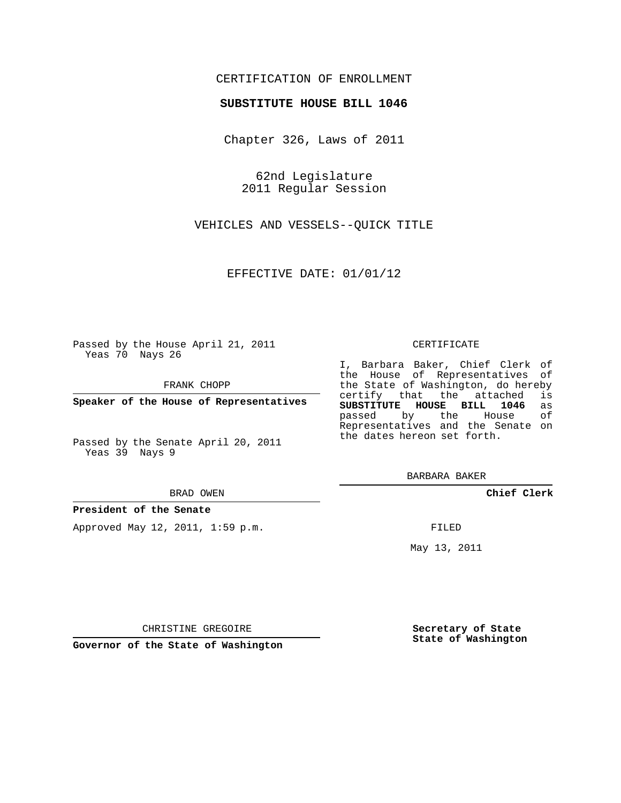## CERTIFICATION OF ENROLLMENT

### **SUBSTITUTE HOUSE BILL 1046**

Chapter 326, Laws of 2011

62nd Legislature 2011 Regular Session

VEHICLES AND VESSELS--QUICK TITLE

EFFECTIVE DATE: 01/01/12

Passed by the House April 21, 2011 Yeas 70 Nays 26

FRANK CHOPP

**Speaker of the House of Representatives**

Passed by the Senate April 20, 2011 Yeas 39 Nays 9

#### BRAD OWEN

**President of the Senate**

Approved May 12, 2011, 1:59 p.m.

#### CERTIFICATE

I, Barbara Baker, Chief Clerk of the House of Representatives of the State of Washington, do hereby<br>certify that the attached is certify that the attached **SUBSTITUTE HOUSE BILL 1046** as passed by the Representatives and the Senate on the dates hereon set forth.

BARBARA BAKER

**Chief Clerk**

FILED

May 13, 2011

**Secretary of State State of Washington**

CHRISTINE GREGOIRE

**Governor of the State of Washington**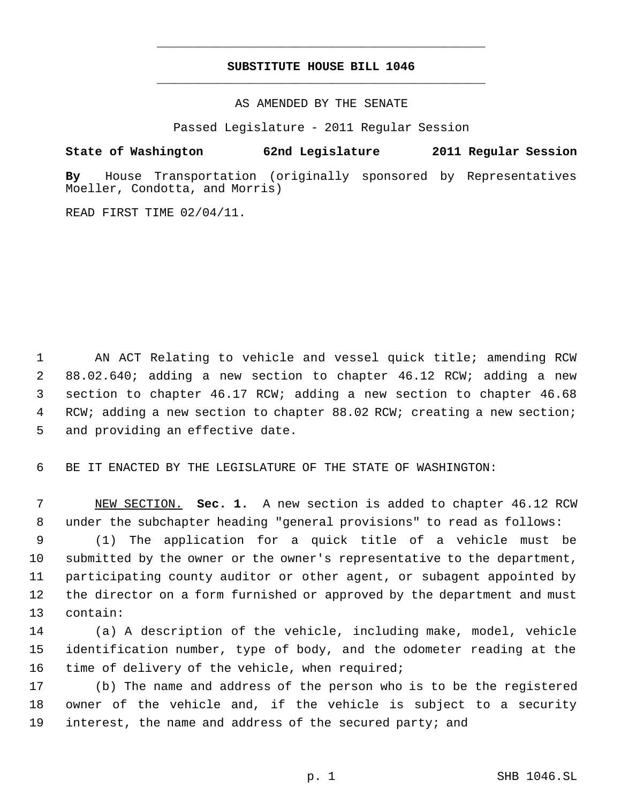# **SUBSTITUTE HOUSE BILL 1046** \_\_\_\_\_\_\_\_\_\_\_\_\_\_\_\_\_\_\_\_\_\_\_\_\_\_\_\_\_\_\_\_\_\_\_\_\_\_\_\_\_\_\_\_\_

\_\_\_\_\_\_\_\_\_\_\_\_\_\_\_\_\_\_\_\_\_\_\_\_\_\_\_\_\_\_\_\_\_\_\_\_\_\_\_\_\_\_\_\_\_

AS AMENDED BY THE SENATE

Passed Legislature - 2011 Regular Session

## **State of Washington 62nd Legislature 2011 Regular Session**

**By** House Transportation (originally sponsored by Representatives Moeller, Condotta, and Morris)

READ FIRST TIME 02/04/11.

 AN ACT Relating to vehicle and vessel quick title; amending RCW 88.02.640; adding a new section to chapter 46.12 RCW; adding a new section to chapter 46.17 RCW; adding a new section to chapter 46.68 RCW; adding a new section to chapter 88.02 RCW; creating a new section; and providing an effective date.

BE IT ENACTED BY THE LEGISLATURE OF THE STATE OF WASHINGTON:

 NEW SECTION. **Sec. 1.** A new section is added to chapter 46.12 RCW under the subchapter heading "general provisions" to read as follows:

 (1) The application for a quick title of a vehicle must be submitted by the owner or the owner's representative to the department, participating county auditor or other agent, or subagent appointed by the director on a form furnished or approved by the department and must contain:

 (a) A description of the vehicle, including make, model, vehicle identification number, type of body, and the odometer reading at the 16 time of delivery of the vehicle, when required;

 (b) The name and address of the person who is to be the registered owner of the vehicle and, if the vehicle is subject to a security interest, the name and address of the secured party; and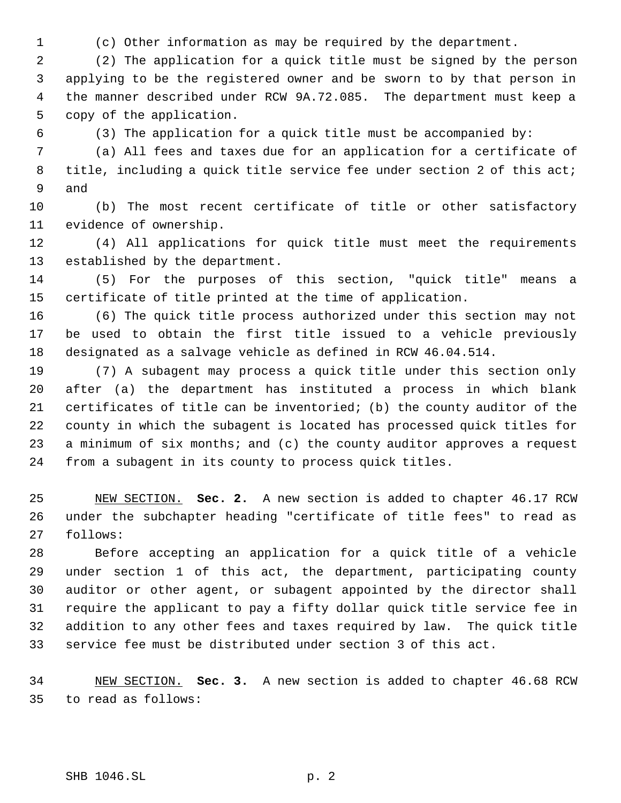(c) Other information as may be required by the department.

 (2) The application for a quick title must be signed by the person applying to be the registered owner and be sworn to by that person in the manner described under RCW 9A.72.085. The department must keep a copy of the application.

(3) The application for a quick title must be accompanied by:

 (a) All fees and taxes due for an application for a certificate of 8 title, including a quick title service fee under section 2 of this act; and

 (b) The most recent certificate of title or other satisfactory evidence of ownership.

 (4) All applications for quick title must meet the requirements established by the department.

 (5) For the purposes of this section, "quick title" means a certificate of title printed at the time of application.

 (6) The quick title process authorized under this section may not be used to obtain the first title issued to a vehicle previously designated as a salvage vehicle as defined in RCW 46.04.514.

 (7) A subagent may process a quick title under this section only after (a) the department has instituted a process in which blank certificates of title can be inventoried; (b) the county auditor of the county in which the subagent is located has processed quick titles for a minimum of six months; and (c) the county auditor approves a request from a subagent in its county to process quick titles.

 NEW SECTION. **Sec. 2.** A new section is added to chapter 46.17 RCW under the subchapter heading "certificate of title fees" to read as follows:

 Before accepting an application for a quick title of a vehicle under section 1 of this act, the department, participating county auditor or other agent, or subagent appointed by the director shall require the applicant to pay a fifty dollar quick title service fee in addition to any other fees and taxes required by law. The quick title service fee must be distributed under section 3 of this act.

 NEW SECTION. **Sec. 3.** A new section is added to chapter 46.68 RCW to read as follows: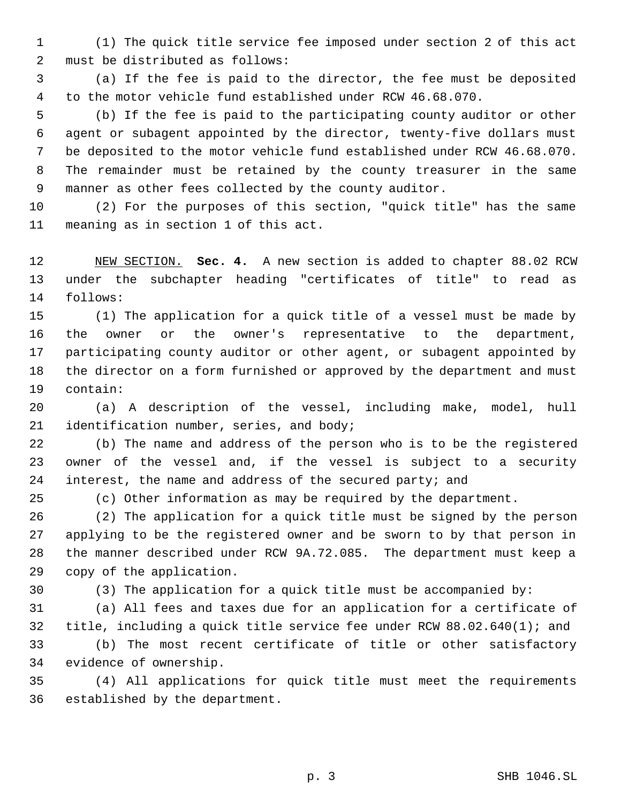(1) The quick title service fee imposed under section 2 of this act must be distributed as follows:

 (a) If the fee is paid to the director, the fee must be deposited to the motor vehicle fund established under RCW 46.68.070.

 (b) If the fee is paid to the participating county auditor or other agent or subagent appointed by the director, twenty-five dollars must be deposited to the motor vehicle fund established under RCW 46.68.070. The remainder must be retained by the county treasurer in the same manner as other fees collected by the county auditor.

 (2) For the purposes of this section, "quick title" has the same meaning as in section 1 of this act.

 NEW SECTION. **Sec. 4.** A new section is added to chapter 88.02 RCW under the subchapter heading "certificates of title" to read as follows:

 (1) The application for a quick title of a vessel must be made by the owner or the owner's representative to the department, participating county auditor or other agent, or subagent appointed by the director on a form furnished or approved by the department and must contain:

 (a) A description of the vessel, including make, model, hull 21 identification number, series, and body;

 (b) The name and address of the person who is to be the registered owner of the vessel and, if the vessel is subject to a security interest, the name and address of the secured party; and

(c) Other information as may be required by the department.

 (2) The application for a quick title must be signed by the person applying to be the registered owner and be sworn to by that person in the manner described under RCW 9A.72.085. The department must keep a copy of the application.

(3) The application for a quick title must be accompanied by:

 (a) All fees and taxes due for an application for a certificate of title, including a quick title service fee under RCW 88.02.640(1); and

 (b) The most recent certificate of title or other satisfactory evidence of ownership.

 (4) All applications for quick title must meet the requirements established by the department.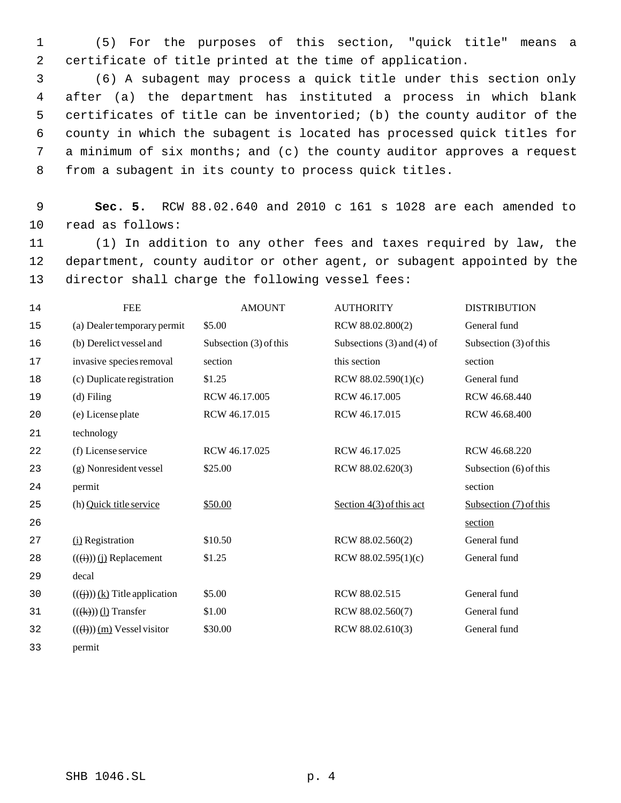1 (5) For the purposes of this section, "quick title" means a 2 certificate of title printed at the time of application.

 (6) A subagent may process a quick title under this section only after (a) the department has instituted a process in which blank certificates of title can be inventoried; (b) the county auditor of the county in which the subagent is located has processed quick titles for a minimum of six months; and (c) the county auditor approves a request from a subagent in its county to process quick titles.

 9 **Sec. 5.** RCW 88.02.640 and 2010 c 161 s 1028 are each amended to 10 read as follows:

11 (1) In addition to any other fees and taxes required by law, the 12 department, county auditor or other agent, or subagent appointed by the 13 director shall charge the following vessel fees:

| 14 | <b>FEE</b>                                                   | <b>AMOUNT</b>          | <b>AUTHORITY</b>               | <b>DISTRIBUTION</b>    |
|----|--------------------------------------------------------------|------------------------|--------------------------------|------------------------|
| 15 | (a) Dealer temporary permit                                  | \$5.00                 | RCW 88.02.800(2)               | General fund           |
| 16 | (b) Derelict vessel and                                      | Subsection (3) of this | Subsections $(3)$ and $(4)$ of | Subsection (3) of this |
| 17 | invasive species removal                                     | section                | this section                   | section                |
| 18 | (c) Duplicate registration                                   | \$1.25                 | RCW 88.02.590 $(1)(c)$         | General fund           |
| 19 | (d) Filing                                                   | RCW 46.17.005          | RCW 46.17.005                  | RCW 46.68.440          |
| 20 | (e) License plate                                            | RCW 46.17.015          | RCW 46.17.015                  | RCW 46.68.400          |
| 21 | technology                                                   |                        |                                |                        |
| 22 | (f) License service                                          | RCW 46.17.025          | RCW 46.17.025                  | RCW 46.68.220          |
| 23 | (g) Nonresident vessel                                       | \$25.00                | RCW 88.02.620(3)               | Subsection (6) of this |
| 24 | permit                                                       |                        |                                | section                |
| 25 | (h) Quick title service                                      | \$50.00                | Section $4(3)$ of this act     | Subsection (7) of this |
| 26 |                                                              |                        |                                | section                |
| 27 | (i) Registration                                             | \$10.50                | RCW 88.02.560(2)               | General fund           |
| 28 | $((\overrightarrow{ii}))$ (i) Replacement                    | \$1.25                 | RCW 88.02.595(1)(c)            | General fund           |
| 29 | decal                                                        |                        |                                |                        |
| 30 | $((\overrightarrow{ij}))$ (k) Title application              | \$5.00                 | RCW 88.02.515                  | General fund           |
| 31 | $((\cancel{(\mathbf{k})}) \underline{(\mathbf{l})}$ Transfer | \$1.00                 | RCW 88.02.560(7)               | General fund           |
| 32 | $((\text{H}))$ (m) Vessel visitor                            | \$30.00                | RCW 88.02.610(3)               | General fund           |
| 33 | permit                                                       |                        |                                |                        |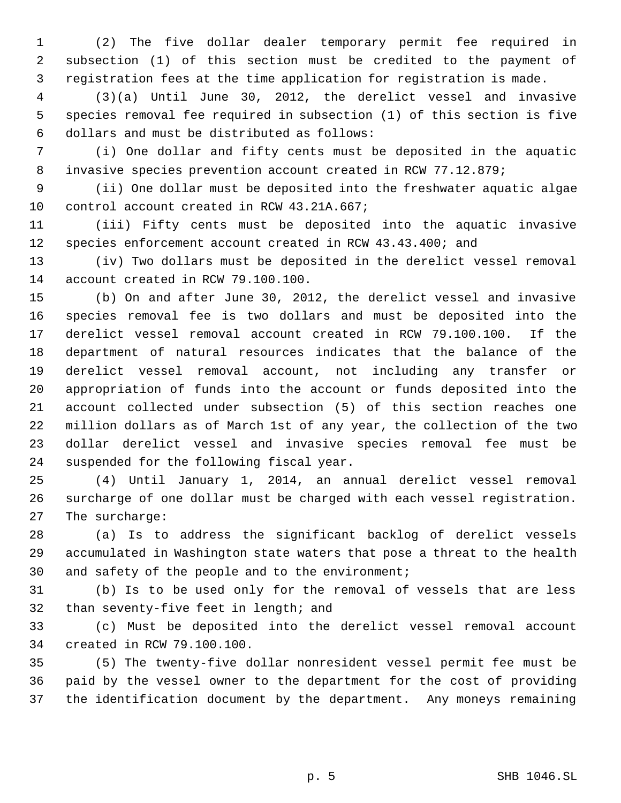(2) The five dollar dealer temporary permit fee required in subsection (1) of this section must be credited to the payment of registration fees at the time application for registration is made.

 (3)(a) Until June 30, 2012, the derelict vessel and invasive species removal fee required in subsection (1) of this section is five dollars and must be distributed as follows:

 (i) One dollar and fifty cents must be deposited in the aquatic invasive species prevention account created in RCW 77.12.879;

 (ii) One dollar must be deposited into the freshwater aquatic algae control account created in RCW 43.21A.667;

 (iii) Fifty cents must be deposited into the aquatic invasive species enforcement account created in RCW 43.43.400; and

 (iv) Two dollars must be deposited in the derelict vessel removal account created in RCW 79.100.100.

 (b) On and after June 30, 2012, the derelict vessel and invasive species removal fee is two dollars and must be deposited into the derelict vessel removal account created in RCW 79.100.100. If the department of natural resources indicates that the balance of the derelict vessel removal account, not including any transfer or appropriation of funds into the account or funds deposited into the account collected under subsection (5) of this section reaches one million dollars as of March 1st of any year, the collection of the two dollar derelict vessel and invasive species removal fee must be suspended for the following fiscal year.

 (4) Until January 1, 2014, an annual derelict vessel removal surcharge of one dollar must be charged with each vessel registration. The surcharge:

 (a) Is to address the significant backlog of derelict vessels accumulated in Washington state waters that pose a threat to the health and safety of the people and to the environment;

 (b) Is to be used only for the removal of vessels that are less than seventy-five feet in length; and

 (c) Must be deposited into the derelict vessel removal account created in RCW 79.100.100.

 (5) The twenty-five dollar nonresident vessel permit fee must be paid by the vessel owner to the department for the cost of providing the identification document by the department. Any moneys remaining